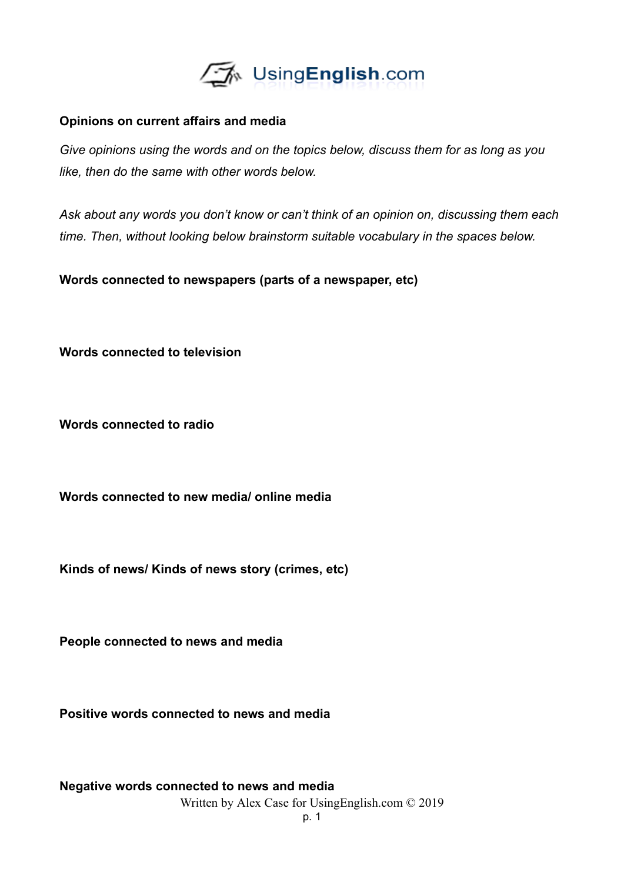

## **Opinions on current affairs and media**

*Give opinions using the words and on the topics below, discuss them for as long as you like, then do the same with other words below.*

*Ask about any words you don't know or can't think of an opinion on, discussing them each time. Then, without looking below brainstorm suitable vocabulary in the spaces below.*

**Words connected to newspapers (parts of a newspaper, etc)**

**Words connected to television**

**Words connected to radio**

**Words connected to new media/ online media**

**Kinds of news/ Kinds of news story (crimes, etc)**

**People connected to news and media**

**Positive words connected to news and media**

**Negative words connected to news and media** Written by Alex Case for UsingEnglish.com © 2019

p. 1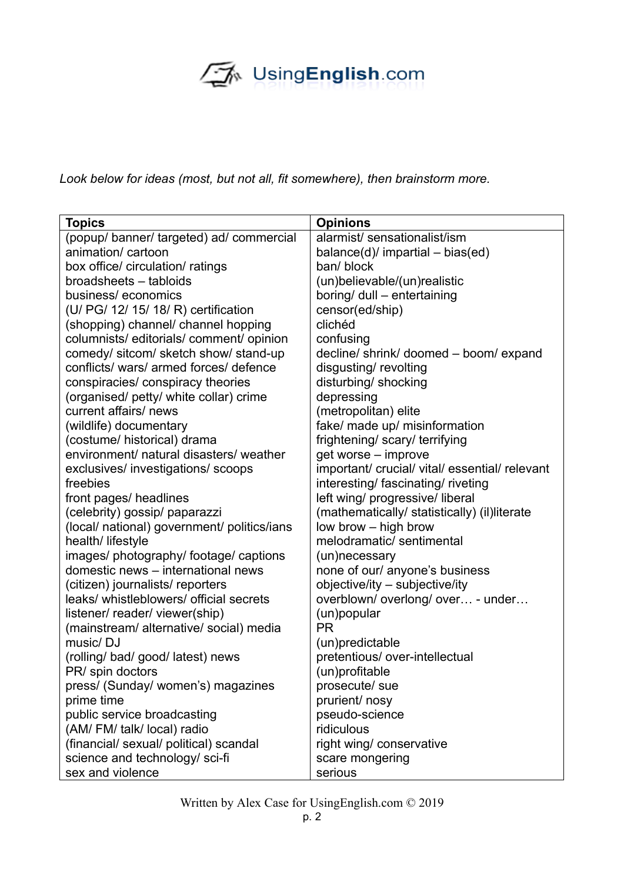## UsingEnglish.com

*Look below for ideas (most, but not all, fit somewhere), then brainstorm more.*

| <b>Topics</b>                               | <b>Opinions</b>                                |
|---------------------------------------------|------------------------------------------------|
| (popup/ banner/ targeted) ad/ commercial    | alarmist/ sensationalist/ism                   |
| animation/ cartoon                          | balance $(d)$ / impartial – bias $(ed)$        |
| box office/ circulation/ ratings            | ban/ block                                     |
| broadsheets - tabloids                      | (un)believable/(un)realistic                   |
| business/economics                          | boring/ dull - entertaining                    |
| (U/ PG/ 12/ 15/ 18/ R) certification        | censor(ed/ship)                                |
| (shopping) channel/ channel hopping         | clichéd                                        |
| columnists/editorials/comment/opinion       | confusing                                      |
| comedy/ sitcom/ sketch show/ stand-up       | decline/ shrink/ doomed - boom/ expand         |
| conflicts/ wars/ armed forces/ defence      | disgusting/revolting                           |
| conspiracies/ conspiracy theories           | disturbing/ shocking                           |
| (organised/ petty/ white collar) crime      | depressing                                     |
| current affairs/news                        | (metropolitan) elite                           |
| (wildlife) documentary                      | fake/ made up/ misinformation                  |
| (costume/ historical) drama                 | frightening/ scary/ terrifying                 |
| environment/ natural disasters/ weather     | get worse - improve                            |
| exclusives/ investigations/ scoops          | important/ crucial/ vital/ essential/ relevant |
| freebies                                    | interesting/fascinating/riveting               |
| front pages/ headlines                      | left wing/ progressive/ liberal                |
| (celebrity) gossip/ paparazzi               | (mathematically/ statistically) (il)literate   |
| (local/ national) government/ politics/ians | low brow - high brow                           |
| health/ lifestyle                           | melodramatic/sentimental                       |
| images/ photography/ footage/ captions      | (un)necessary                                  |
| domestic news - international news          | none of our/ anyone's business                 |
| (citizen) journalists/ reporters            | objective/ity - subjective/ity                 |
| leaks/ whistleblowers/ official secrets     | overblown/overlong/over - under                |
| listener/ reader/ viewer(ship)              | (un)popular                                    |
| (mainstream/ alternative/ social) media     | <b>PR</b>                                      |
| music/DJ                                    | (un)predictable                                |
| (rolling/ bad/ good/ latest) news           | pretentious/ over-intellectual                 |
| PR/ spin doctors                            | (un)profitable                                 |
| press/ (Sunday/ women's) magazines          | prosecute/ sue                                 |
| prime time                                  | prurient/ nosy                                 |
| public service broadcasting                 | pseudo-science                                 |
| (AM/FM/talk/local) radio                    | ridiculous                                     |
| (financial/ sexual/ political) scandal      | right wing/ conservative                       |
| science and technology/ sci-fi              | scare mongering                                |
| sex and violence                            | serious                                        |

Written by Alex Case for UsingEnglish.com © 2019